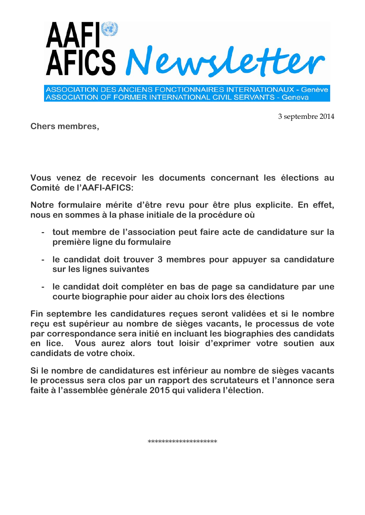

**ASSOCIATION DES ANCIENS FONCTIONNAIRES INTERNATIONAUX - Genève ASSOCIATION OF FORMER INTERNATIONAL CIVIL SERVANTS - Geneva** 

3 septembre 2014

**Chers membres,**

**Vous venez de recevoir les documents concernant les élections au Comité de l'AAFI-AFICS:**

**Notre formulaire mérite d'être revu pour être plus explicite. En effet, nous en sommes à la phase initiale de la procédure où** 

- **- tout membre de l'association peut faire acte de candidature sur la première ligne du formulaire**
- **- le candidat doit trouver 3 membres pour appuyer sa candidature sur les lignes suivantes**
- **- le candidat doit compléter en bas de page sa candidature par une courte biographie pour aider au choix lors des élections**

**Fin septembre les candidatures reçues seront validées et si le nombre reçu est supérieur au nombre de sièges vacants, le processus de vote par correspondance sera initié en incluant les biographies des candidats en lice. Vous aurez alors tout loisir d'exprimer votre soutien aux candidats de votre choix.**

**Si le nombre de candidatures est inférieur au nombre de sièges vacants le processus sera clos par un rapport des scrutateurs et l'annonce sera faite à l'assemblée générale 2015 qui validera l'élection.**

\*\*\*\*\*\*\*\*\*\*\*\*\*\*\*\*\*\*\*\*